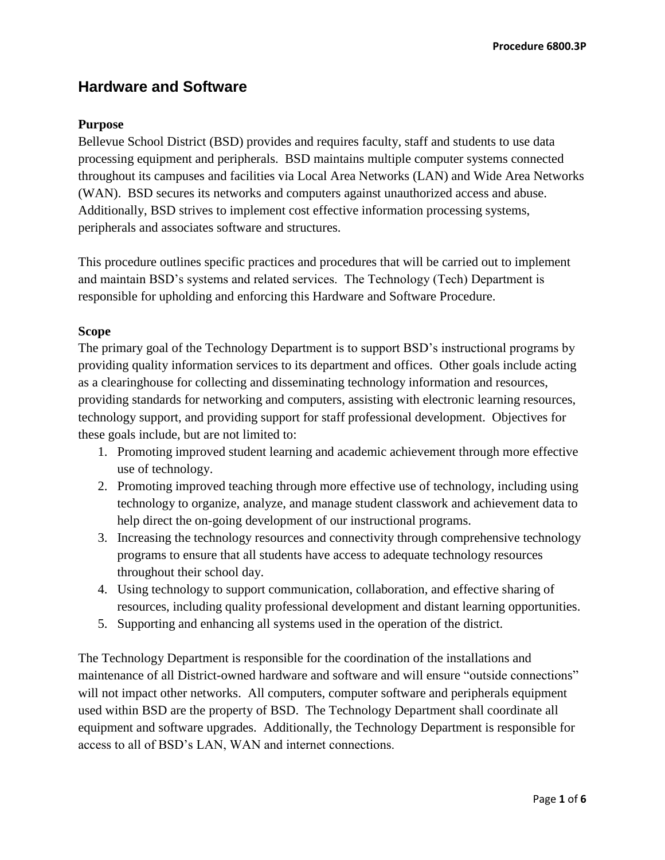# **Hardware and Software**

## **Purpose**

Bellevue School District (BSD) provides and requires faculty, staff and students to use data processing equipment and peripherals. BSD maintains multiple computer systems connected throughout its campuses and facilities via Local Area Networks (LAN) and Wide Area Networks (WAN). BSD secures its networks and computers against unauthorized access and abuse. Additionally, BSD strives to implement cost effective information processing systems, peripherals and associates software and structures.

This procedure outlines specific practices and procedures that will be carried out to implement and maintain BSD's systems and related services. The Technology (Tech) Department is responsible for upholding and enforcing this Hardware and Software Procedure.

#### **Scope**

The primary goal of the Technology Department is to support BSD's instructional programs by providing quality information services to its department and offices. Other goals include acting as a clearinghouse for collecting and disseminating technology information and resources, providing standards for networking and computers, assisting with electronic learning resources, technology support, and providing support for staff professional development. Objectives for these goals include, but are not limited to:

- 1. Promoting improved student learning and academic achievement through more effective use of technology.
- 2. Promoting improved teaching through more effective use of technology, including using technology to organize, analyze, and manage student classwork and achievement data to help direct the on-going development of our instructional programs.
- 3. Increasing the technology resources and connectivity through comprehensive technology programs to ensure that all students have access to adequate technology resources throughout their school day.
- 4. Using technology to support communication, collaboration, and effective sharing of resources, including quality professional development and distant learning opportunities.
- 5. Supporting and enhancing all systems used in the operation of the district.

The Technology Department is responsible for the coordination of the installations and maintenance of all District-owned hardware and software and will ensure "outside connections" will not impact other networks. All computers, computer software and peripherals equipment used within BSD are the property of BSD. The Technology Department shall coordinate all equipment and software upgrades. Additionally, the Technology Department is responsible for access to all of BSD's LAN, WAN and internet connections.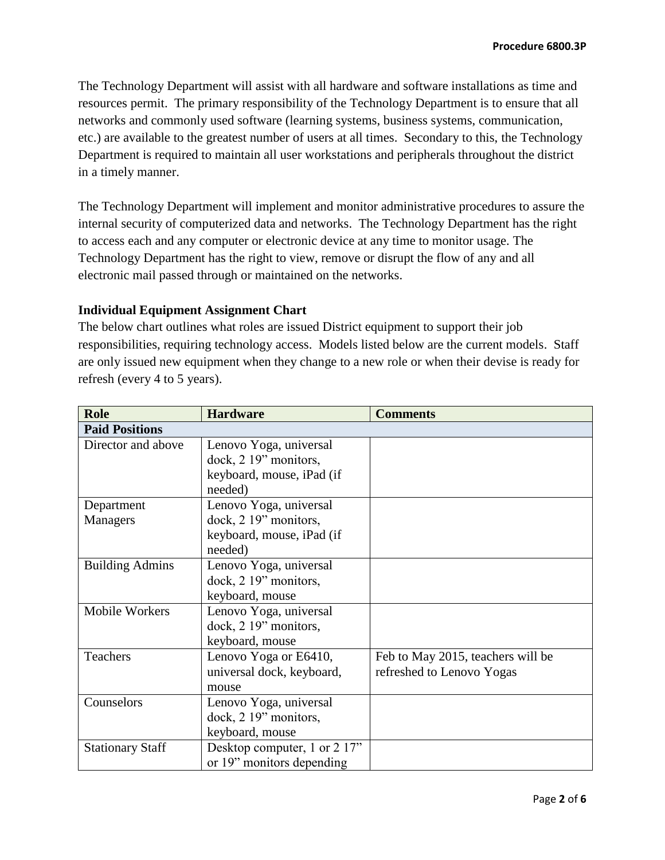The Technology Department will assist with all hardware and software installations as time and resources permit. The primary responsibility of the Technology Department is to ensure that all networks and commonly used software (learning systems, business systems, communication, etc.) are available to the greatest number of users at all times. Secondary to this, the Technology Department is required to maintain all user workstations and peripherals throughout the district in a timely manner.

The Technology Department will implement and monitor administrative procedures to assure the internal security of computerized data and networks. The Technology Department has the right to access each and any computer or electronic device at any time to monitor usage. The Technology Department has the right to view, remove or disrupt the flow of any and all electronic mail passed through or maintained on the networks.

## **Individual Equipment Assignment Chart**

The below chart outlines what roles are issued District equipment to support their job responsibilities, requiring technology access. Models listed below are the current models. Staff are only issued new equipment when they change to a new role or when their devise is ready for refresh (every 4 to 5 years).

| <b>Role</b>             | <b>Hardware</b>                                                                         | <b>Comments</b>                                                |
|-------------------------|-----------------------------------------------------------------------------------------|----------------------------------------------------------------|
| <b>Paid Positions</b>   |                                                                                         |                                                                |
| Director and above      | Lenovo Yoga, universal<br>dock, 2 19" monitors,<br>keyboard, mouse, iPad (if<br>needed) |                                                                |
| Department              | Lenovo Yoga, universal                                                                  |                                                                |
| Managers                | dock, 2 19" monitors,<br>keyboard, mouse, iPad (if<br>needed)                           |                                                                |
| <b>Building Admins</b>  | Lenovo Yoga, universal<br>dock, 2 19" monitors,<br>keyboard, mouse                      |                                                                |
| Mobile Workers          | Lenovo Yoga, universal<br>dock, 2 19" monitors,<br>keyboard, mouse                      |                                                                |
| Teachers                | Lenovo Yoga or E6410,<br>universal dock, keyboard,<br>mouse                             | Feb to May 2015, teachers will be<br>refreshed to Lenovo Yogas |
| Counselors              | Lenovo Yoga, universal<br>dock, 2 19" monitors,<br>keyboard, mouse                      |                                                                |
| <b>Stationary Staff</b> | Desktop computer, 1 or 2 17"<br>or 19" monitors depending                               |                                                                |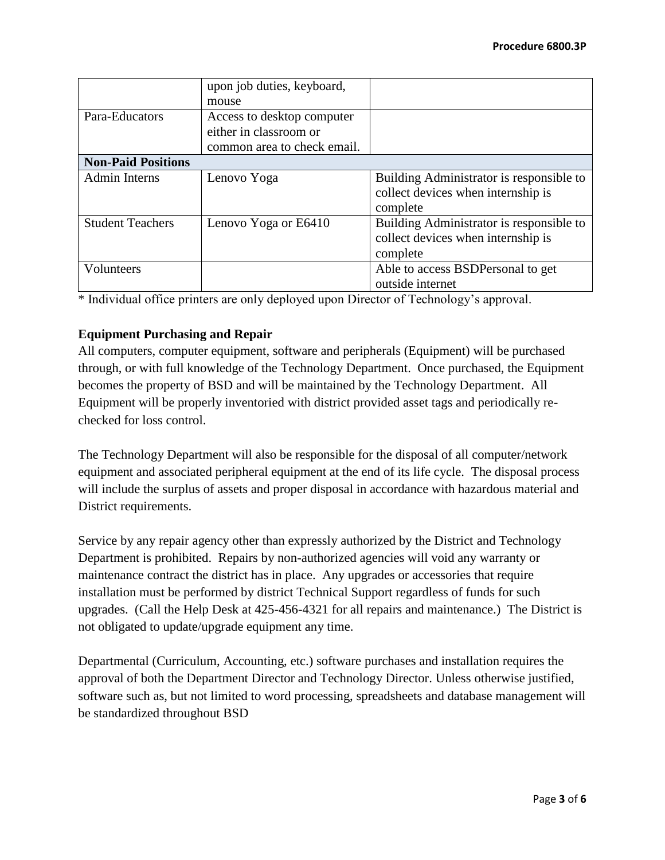|                           | upon job duties, keyboard,  |                                          |
|---------------------------|-----------------------------|------------------------------------------|
|                           | mouse                       |                                          |
| Para-Educators            | Access to desktop computer  |                                          |
|                           | either in classroom or      |                                          |
|                           | common area to check email. |                                          |
| <b>Non-Paid Positions</b> |                             |                                          |
| <b>Admin Interns</b>      | Lenovo Yoga                 | Building Administrator is responsible to |
|                           |                             | collect devices when internship is       |
|                           |                             | complete                                 |
| <b>Student Teachers</b>   | Lenovo Yoga or E6410        | Building Administrator is responsible to |
|                           |                             | collect devices when internship is       |
|                           |                             | complete                                 |
| Volunteers                |                             | Able to access BSDPersonal to get        |
|                           |                             | outside internet                         |

\* Individual office printers are only deployed upon Director of Technology's approval.

# **Equipment Purchasing and Repair**

All computers, computer equipment, software and peripherals (Equipment) will be purchased through, or with full knowledge of the Technology Department. Once purchased, the Equipment becomes the property of BSD and will be maintained by the Technology Department. All Equipment will be properly inventoried with district provided asset tags and periodically rechecked for loss control.

The Technology Department will also be responsible for the disposal of all computer/network equipment and associated peripheral equipment at the end of its life cycle. The disposal process will include the surplus of assets and proper disposal in accordance with hazardous material and District requirements.

Service by any repair agency other than expressly authorized by the District and Technology Department is prohibited. Repairs by non-authorized agencies will void any warranty or maintenance contract the district has in place. Any upgrades or accessories that require installation must be performed by district Technical Support regardless of funds for such upgrades. (Call the Help Desk at 425-456-4321 for all repairs and maintenance.) The District is not obligated to update/upgrade equipment any time.

Departmental (Curriculum, Accounting, etc.) software purchases and installation requires the approval of both the Department Director and Technology Director. Unless otherwise justified, software such as, but not limited to word processing, spreadsheets and database management will be standardized throughout BSD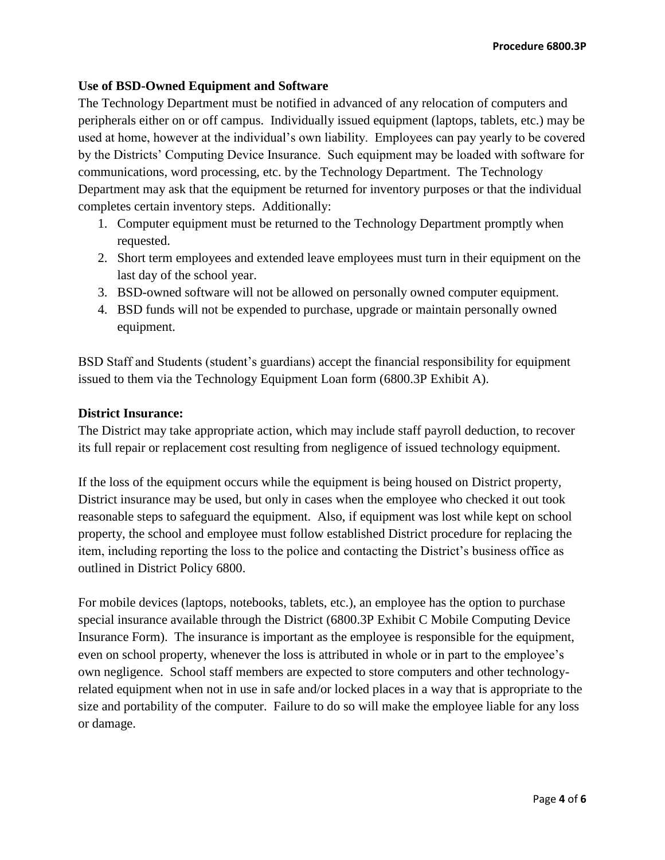## **Use of BSD-Owned Equipment and Software**

The Technology Department must be notified in advanced of any relocation of computers and peripherals either on or off campus. Individually issued equipment (laptops, tablets, etc.) may be used at home, however at the individual's own liability. Employees can pay yearly to be covered by the Districts' Computing Device Insurance. Such equipment may be loaded with software for communications, word processing, etc. by the Technology Department. The Technology Department may ask that the equipment be returned for inventory purposes or that the individual completes certain inventory steps. Additionally:

- 1. Computer equipment must be returned to the Technology Department promptly when requested.
- 2. Short term employees and extended leave employees must turn in their equipment on the last day of the school year.
- 3. BSD-owned software will not be allowed on personally owned computer equipment.
- 4. BSD funds will not be expended to purchase, upgrade or maintain personally owned equipment.

BSD Staff and Students (student's guardians) accept the financial responsibility for equipment issued to them via the Technology Equipment Loan form (6800.3P Exhibit A).

#### **District Insurance:**

The District may take appropriate action, which may include staff payroll deduction, to recover its full repair or replacement cost resulting from negligence of issued technology equipment.

If the loss of the equipment occurs while the equipment is being housed on District property, District insurance may be used, but only in cases when the employee who checked it out took reasonable steps to safeguard the equipment. Also, if equipment was lost while kept on school property, the school and employee must follow established District procedure for replacing the item, including reporting the loss to the police and contacting the District's business office as outlined in District Policy 6800.

For mobile devices (laptops, notebooks, tablets, etc.), an employee has the option to purchase special insurance available through the District (6800.3P Exhibit C Mobile Computing Device Insurance Form). The insurance is important as the employee is responsible for the equipment, even on school property, whenever the loss is attributed in whole or in part to the employee's own negligence. School staff members are expected to store computers and other technologyrelated equipment when not in use in safe and/or locked places in a way that is appropriate to the size and portability of the computer. Failure to do so will make the employee liable for any loss or damage.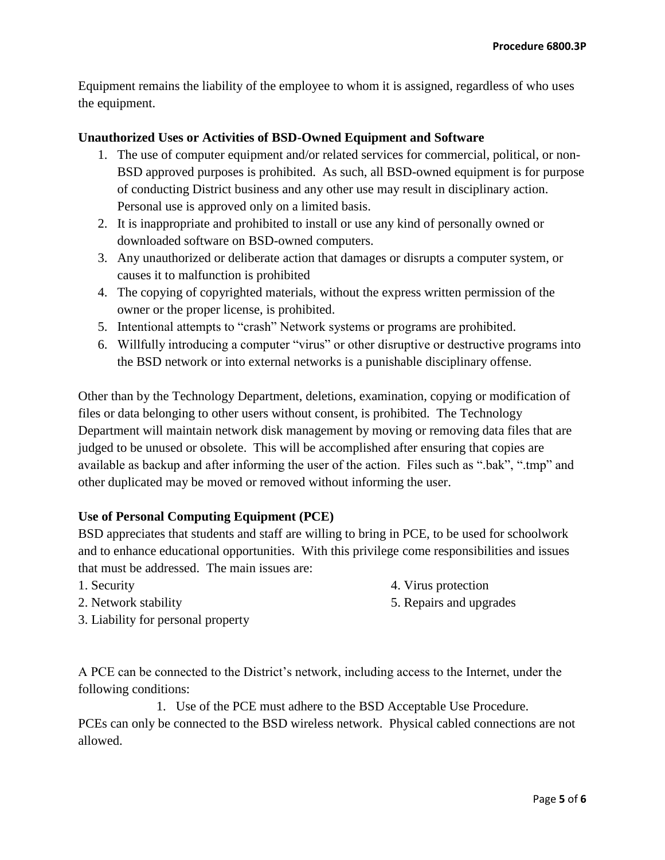Equipment remains the liability of the employee to whom it is assigned, regardless of who uses the equipment.

# **Unauthorized Uses or Activities of BSD-Owned Equipment and Software**

- 1. The use of computer equipment and/or related services for commercial, political, or non-BSD approved purposes is prohibited. As such, all BSD-owned equipment is for purpose of conducting District business and any other use may result in disciplinary action. Personal use is approved only on a limited basis.
- 2. It is inappropriate and prohibited to install or use any kind of personally owned or downloaded software on BSD-owned computers.
- 3. Any unauthorized or deliberate action that damages or disrupts a computer system, or causes it to malfunction is prohibited
- 4. The copying of copyrighted materials, without the express written permission of the owner or the proper license, is prohibited.
- 5. Intentional attempts to "crash" Network systems or programs are prohibited.
- 6. Willfully introducing a computer "virus" or other disruptive or destructive programs into the BSD network or into external networks is a punishable disciplinary offense.

Other than by the Technology Department, deletions, examination, copying or modification of files or data belonging to other users without consent, is prohibited. The Technology Department will maintain network disk management by moving or removing data files that are judged to be unused or obsolete. This will be accomplished after ensuring that copies are available as backup and after informing the user of the action. Files such as ".bak", ".tmp" and other duplicated may be moved or removed without informing the user.

## **Use of Personal Computing Equipment (PCE)**

BSD appreciates that students and staff are willing to bring in PCE, to be used for schoolwork and to enhance educational opportunities. With this privilege come responsibilities and issues that must be addressed. The main issues are:

1. Security

2. Network stability

- 
- 4. Virus protection
- 5. Repairs and upgrades

3. Liability for personal property

A PCE can be connected to the District's network, including access to the Internet, under the following conditions:

1. Use of the PCE must adhere to the BSD Acceptable Use Procedure. PCEs can only be connected to the BSD wireless network. Physical cabled connections are not allowed.